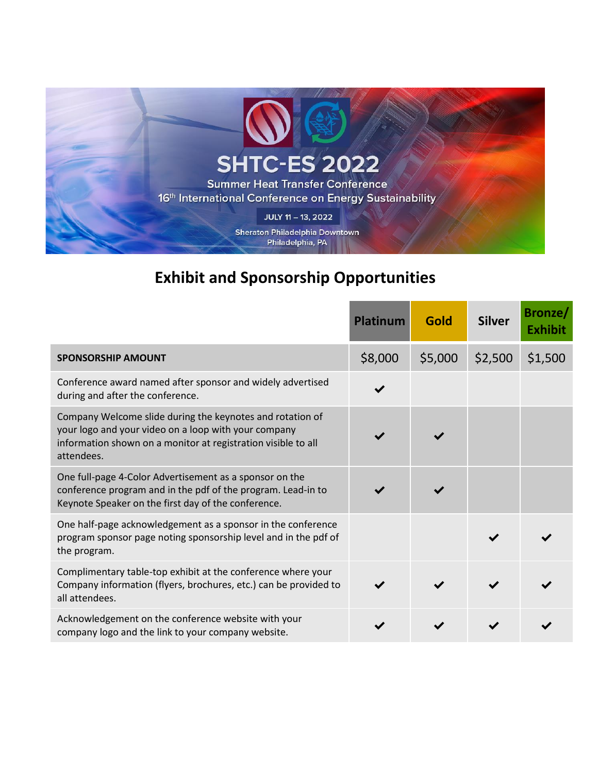

# **Exhibit and Sponsorship Opportunities**

|                                                                                                                                                                                                  | <b>Platinum</b> | <b>Gold</b> | <b>Silver</b> | Bronze/<br><b>Exhibit</b> |
|--------------------------------------------------------------------------------------------------------------------------------------------------------------------------------------------------|-----------------|-------------|---------------|---------------------------|
| <b>SPONSORSHIP AMOUNT</b>                                                                                                                                                                        | \$8,000         | \$5,000     | \$2,500       | \$1,500                   |
| Conference award named after sponsor and widely advertised<br>during and after the conference.                                                                                                   |                 |             |               |                           |
| Company Welcome slide during the keynotes and rotation of<br>your logo and your video on a loop with your company<br>information shown on a monitor at registration visible to all<br>attendees. |                 |             |               |                           |
| One full-page 4-Color Advertisement as a sponsor on the<br>conference program and in the pdf of the program. Lead-in to<br>Keynote Speaker on the first day of the conference.                   |                 |             |               |                           |
| One half-page acknowledgement as a sponsor in the conference<br>program sponsor page noting sponsorship level and in the pdf of<br>the program.                                                  |                 |             |               |                           |
| Complimentary table-top exhibit at the conference where your<br>Company information (flyers, brochures, etc.) can be provided to<br>all attendees.                                               |                 |             |               |                           |
| Acknowledgement on the conference website with your<br>company logo and the link to your company website.                                                                                        |                 |             |               |                           |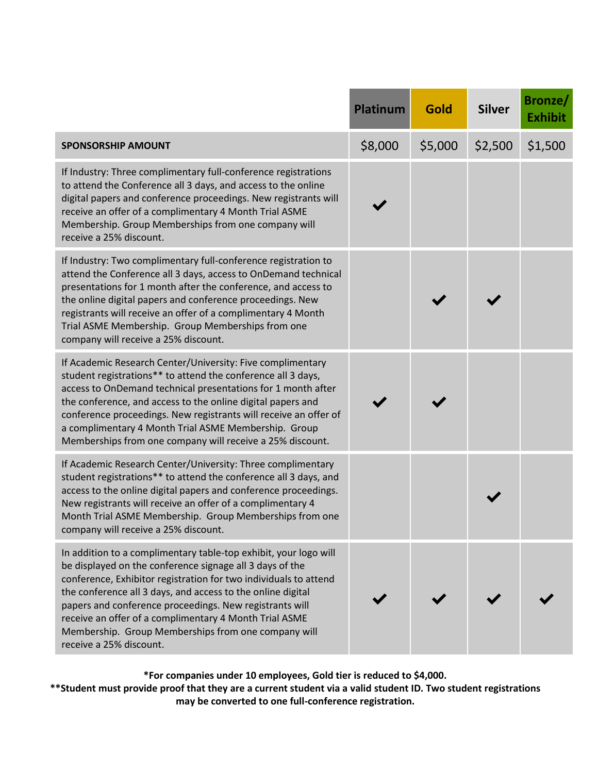|                                                                                                                                                                                                                                                                                                                                                                                                                                                                        | <b>Platinum</b> | Gold    | <b>Silver</b> | <b>Bronze/</b><br><b>Exhibit</b> |
|------------------------------------------------------------------------------------------------------------------------------------------------------------------------------------------------------------------------------------------------------------------------------------------------------------------------------------------------------------------------------------------------------------------------------------------------------------------------|-----------------|---------|---------------|----------------------------------|
| <b>SPONSORSHIP AMOUNT</b>                                                                                                                                                                                                                                                                                                                                                                                                                                              | \$8,000         | \$5,000 | \$2,500       | \$1,500                          |
| If Industry: Three complimentary full-conference registrations<br>to attend the Conference all 3 days, and access to the online<br>digital papers and conference proceedings. New registrants will<br>receive an offer of a complimentary 4 Month Trial ASME<br>Membership. Group Memberships from one company will<br>receive a 25% discount.                                                                                                                         |                 |         |               |                                  |
| If Industry: Two complimentary full-conference registration to<br>attend the Conference all 3 days, access to OnDemand technical<br>presentations for 1 month after the conference, and access to<br>the online digital papers and conference proceedings. New<br>registrants will receive an offer of a complimentary 4 Month<br>Trial ASME Membership. Group Memberships from one<br>company will receive a 25% discount.                                            |                 |         |               |                                  |
| If Academic Research Center/University: Five complimentary<br>student registrations** to attend the conference all 3 days,<br>access to OnDemand technical presentations for 1 month after<br>the conference, and access to the online digital papers and<br>conference proceedings. New registrants will receive an offer of<br>a complimentary 4 Month Trial ASME Membership. Group<br>Memberships from one company will receive a 25% discount.                     |                 |         |               |                                  |
| If Academic Research Center/University: Three complimentary<br>student registrations** to attend the conference all 3 days, and<br>access to the online digital papers and conference proceedings.<br>New registrants will receive an offer of a complimentary 4<br>Month Trial ASME Membership. Group Memberships from one<br>company will receive a 25% discount.                                                                                                    |                 |         |               |                                  |
| In addition to a complimentary table-top exhibit, your logo will<br>be displayed on the conference signage all 3 days of the<br>conference, Exhibitor registration for two individuals to attend<br>the conference all 3 days, and access to the online digital<br>papers and conference proceedings. New registrants will<br>receive an offer of a complimentary 4 Month Trial ASME<br>Membership. Group Memberships from one company will<br>receive a 25% discount. |                 |         |               |                                  |

**\*For companies under 10 employees, Gold tier is reduced to \$4,000.**

**\*\*Student must provide proof that they are a current student via a valid student ID. Two student registrations may be converted to one full-conference registration.**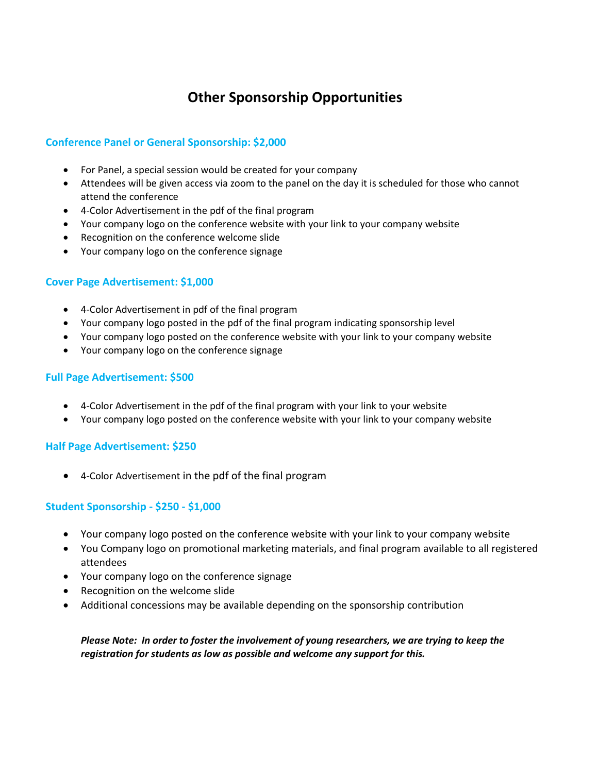### **Other Sponsorship Opportunities**

#### **Conference Panel or General Sponsorship: \$2,000**

- For Panel, a special session would be created for your company
- Attendees will be given access via zoom to the panel on the day it is scheduled for those who cannot attend the conference
- 4-Color Advertisement in the pdf of the final program
- Your company logo on the conference website with your link to your company website
- Recognition on the conference welcome slide
- Your company logo on the conference signage

#### **Cover Page Advertisement: \$1,000**

- 4-Color Advertisement in pdf of the final program
- Your company logo posted in the pdf of the final program indicating sponsorship level
- Your company logo posted on the conference website with your link to your company website
- Your company logo on the conference signage

#### **Full Page Advertisement: \$500**

- 4-Color Advertisement in the pdf of the final program with your link to your website
- Your company logo posted on the conference website with your link to your company website

#### **Half Page Advertisement: \$250**

• 4-Color Advertisement in the pdf of the final program

#### **Student Sponsorship - \$250 - \$1,000**

- Your company logo posted on the conference website with your link to your company website
- You Company logo on promotional marketing materials, and final program available to all registered attendees
- Your company logo on the conference signage
- Recognition on the welcome slide
- Additional concessions may be available depending on the sponsorship contribution

*Please Note: In order to foster the involvement of young researchers, we are trying to keep the registration for students as low as possible and welcome any support for this.*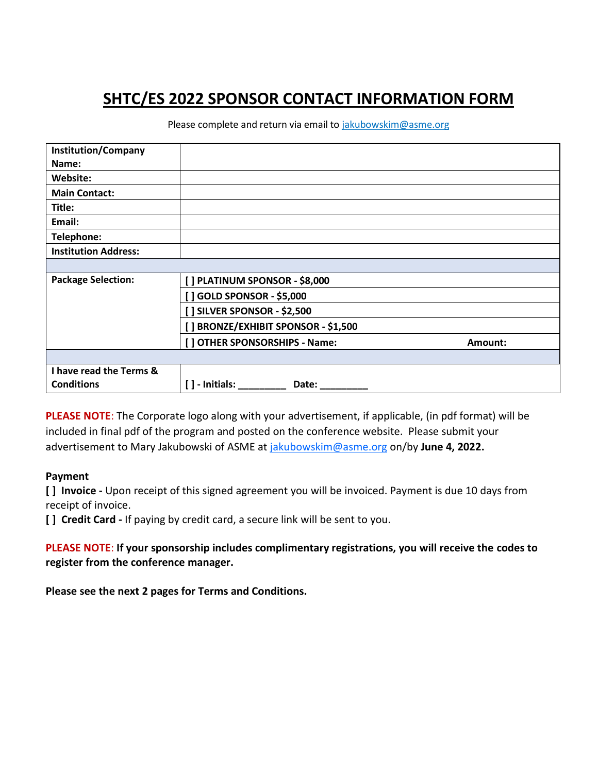## **SHTC/ES 2022 SPONSOR CONTACT INFORMATION FORM**

Please complete and return via email to [jakubowskim@asme.org](mailto:jakubowskim@asme.org)

| <b>Institution/Company</b>  |                                        |         |
|-----------------------------|----------------------------------------|---------|
| Name:                       |                                        |         |
| Website:                    |                                        |         |
| <b>Main Contact:</b>        |                                        |         |
| Title:                      |                                        |         |
| Email:                      |                                        |         |
| Telephone:                  |                                        |         |
| <b>Institution Address:</b> |                                        |         |
|                             |                                        |         |
| <b>Package Selection:</b>   | [] PLATINUM SPONSOR - \$8,000          |         |
|                             | [] GOLD SPONSOR - \$5,000              |         |
|                             | [ ] SILVER SPONSOR - \$2,500           |         |
|                             | [] BRONZE/EXHIBIT SPONSOR - \$1,500    |         |
|                             | [] OTHER SPONSORSHIPS - Name:          | Amount: |
|                             |                                        |         |
| I have read the Terms &     |                                        |         |
| <b>Conditions</b>           | $\lceil$ $\rceil$ - Initials:<br>Date: |         |

**PLEASE NOTE**: The Corporate logo along with your advertisement, if applicable, (in pdf format) will be included in final pdf of the program and posted on the conference website. Please submit your advertisement to Mary Jakubowski of ASME at [jakubowskim@asme.org](mailto:jakubowskim@asme.org) on/by **June 4, 2022.**

#### **Payment**

**[ ] Invoice -** Upon receipt of this signed agreement you will be invoiced. Payment is due 10 days from receipt of invoice.

**[ ] Credit Card -** If paying by credit card, a secure link will be sent to you.

**PLEASE NOTE**: **If your sponsorship includes complimentary registrations, you will receive the codes to register from the conference manager.**

**Please see the next 2 pages for Terms and Conditions.**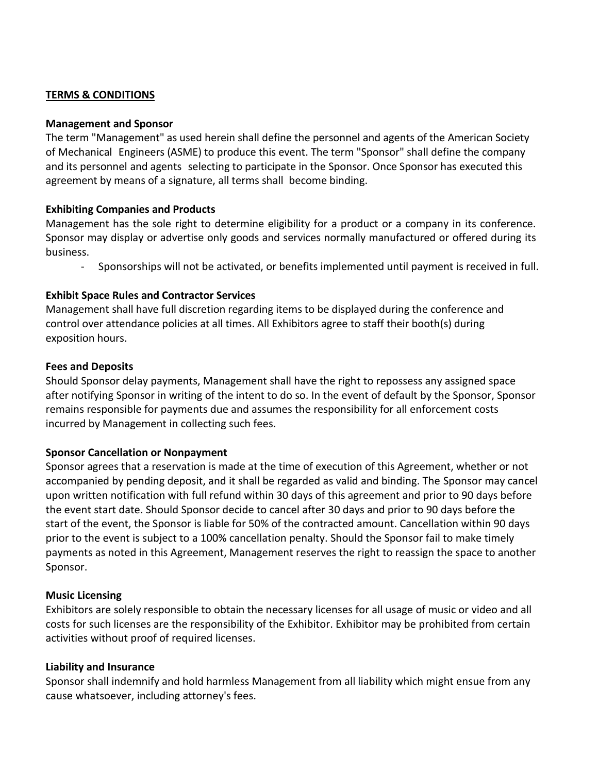#### **TERMS & CONDITIONS**

#### **Management and Sponsor**

The term "Management" as used herein shall define the personnel and agents of the American Society of Mechanical Engineers (ASME) to produce this event. The term "Sponsor" shall define the company and its personnel and agents selecting to participate in the Sponsor. Once Sponsor has executed this agreement by means of a signature, all terms shall become binding.

#### **Exhibiting Companies and Products**

Management has the sole right to determine eligibility for a product or a company in its conference. Sponsor may display or advertise only goods and services normally manufactured or offered during its business.

- Sponsorships will not be activated, or benefits implemented until payment is received in full.

#### **Exhibit Space Rules and Contractor Services**

Management shall have full discretion regarding items to be displayed during the conference and control over attendance policies at all times. All Exhibitors agree to staff their booth(s) during exposition hours.

#### **Fees and Deposits**

Should Sponsor delay payments, Management shall have the right to repossess any assigned space after notifying Sponsor in writing of the intent to do so. In the event of default by the Sponsor, Sponsor remains responsible for payments due and assumes the responsibility for all enforcement costs incurred by Management in collecting such fees.

#### **Sponsor Cancellation or Nonpayment**

Sponsor agrees that a reservation is made at the time of execution of this Agreement, whether or not accompanied by pending deposit, and it shall be regarded as valid and binding. The Sponsor may cancel upon written notification with full refund within 30 days of this agreement and prior to 90 days before the event start date. Should Sponsor decide to cancel after 30 days and prior to 90 days before the start of the event, the Sponsor is liable for 50% of the contracted amount. Cancellation within 90 days prior to the event is subject to a 100% cancellation penalty. Should the Sponsor fail to make timely payments as noted in this Agreement, Management reserves the right to reassign the space to another Sponsor.

#### **Music Licensing**

Exhibitors are solely responsible to obtain the necessary licenses for all usage of music or video and all costs for such licenses are the responsibility of the Exhibitor. Exhibitor may be prohibited from certain activities without proof of required licenses.

#### **Liability and Insurance**

Sponsor shall indemnify and hold harmless Management from all liability which might ensue from any cause whatsoever, including attorney's fees.